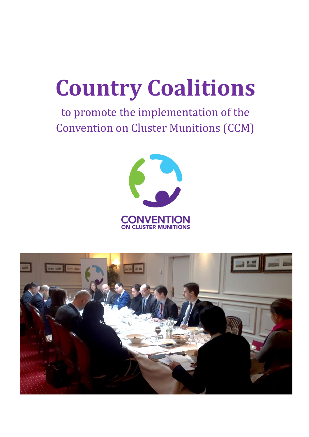# **Country Coalitions**

# to promote the implementation of the Convention on Cluster Munitions (CCM)



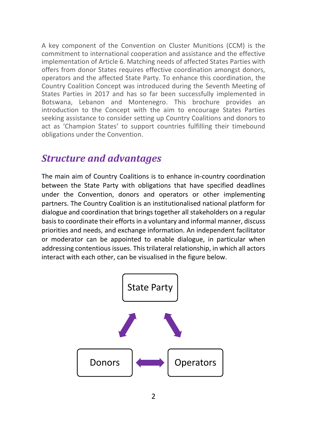A key component of the Convention on Cluster Munitions (CCM) is the commitment to international cooperation and assistance and the effective implementation of Article 6. Matching needs of affected States Parties with offers from donor States requires effective coordination amongst donors, operators and the affected State Party. To enhance this coordination, the Country Coalition Concept was introduced during the Seventh Meeting of States Parties in 2017 and has so far been successfully implemented in Botswana, Lebanon and Montenegro. This brochure provides an introduction to the Concept with the aim to encourage States Parties seeking assistance to consider setting up Country Coalitions and donors to act as 'Champion States' to support countries fulfilling their timebound obligations under the Convention.

#### *Structure and advantages*

The main aim of Country Coalitions is to enhance in-country coordination between the State Party with obligations that have specified deadlines under the Convention, donors and operators or other implementing partners. The Country Coalition is an institutionalised national platform for dialogue and coordination that brings together all stakeholders on a regular basis to coordinate their efforts in a voluntary and informal manner, discuss priorities and needs, and exchange information. An independent facilitator or moderator can be appointed to enable dialogue, in particular when addressing contentious issues. This trilateral relationship, in which all actors interact with each other, can be visualised in the figure below.

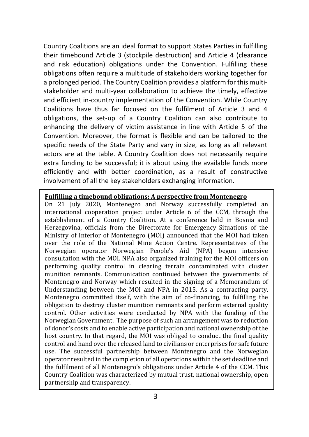Country Coalitions are an ideal format to support States Parties in fulfilling their timebound Article 3 (stockpile destruction) and Article 4 (clearance and risk education) obligations under the Convention. Fulfilling these obligations often require a multitude of stakeholders working together for a prolonged period. The Country Coalition provides a platform for this multistakeholder and multi-year collaboration to achieve the timely, effective and efficient in-country implementation of the Convention. While Country Coalitions have thus far focused on the fulfilment of Article 3 and 4 obligations, the set-up of a Country Coalition can also contribute to enhancing the delivery of victim assistance in line with Article 5 of the Convention. Moreover, the format is flexible and can be tailored to the specific needs of the State Party and vary in size, as long as all relevant actors are at the table. A Country Coalition does not necessarily require extra funding to be successful; it is about using the available funds more efficiently and with better coordination, as a result of constructive involvement of all the key stakeholders exchanging information.

#### **Fulfilling a timebound obligations: A perspective from Montenegro**

On 21 July 2020, Montenegro and Norway successfully completed an international cooperation project under Article 6 of the CCM, through the establishment of a Country Coalition. At a conference held in Bosnia and Herzegovina, officials from the Directorate for Emergency Situations of the Ministry of Interior of Montenegro (MOI) announced that the MOI had taken over the role of the National Mine Action Centre. Representatives of the Norwegian operator Norwegian People's Aid (NPA) begun intensive consultation with the MOI. NPA also organized training for the MOI officers on performing quality control in clearing terrain contaminated with cluster munition remnants. Communication continued between the governments of Montenegro and Norway which resulted in the signing of a Memorandum of Understanding between the MOI and NPA in 2015. As a contracting party, Montenegro committed itself, with the aim of co-financing, to fulfilling the obligation to destroy cluster munition remnants and perform external quality control. Other activities were conducted by NPA with the funding of the Norwegian Government. The purpose of such an arrangement was to reduction of donor's costs and to enable active participation and national ownership of the host country. In that regard, the MOI was obliged to conduct the final quality control and hand over the released land to civilians or enterprises for safe future use. The successful partnership between Montenegro and the Norwegian operator resulted in the completion of all operations within the set deadline and the fulfilment of all Montenegro's obligations under Article 4 of the CCM. This Country Coalition was characterized by mutual trust, national ownership, open partnership and transparency.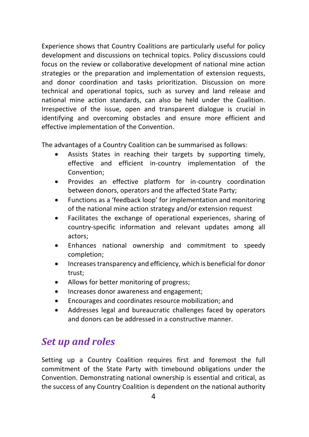Experience shows that Country Coalitions are particularly useful for policy development and discussions on technical topics. Policy discussions could focus on the review or collaborative development of national mine action strategies or the preparation and implementation of extension requests, and donor coordination and tasks prioritization. Discussion on more technical and operational topics, such as survey and land release and national mine action standards, can also be held under the Coalition. Irrespective of the issue, open and transparent dialogue is crucial in identifying and overcoming obstacles and ensure more efficient and effective implementation of the Convention.

The advantages of a Country Coalition can be summarised as follows:

- Assists States in reaching their targets by supporting timely, effective and efficient in-country implementation of the Convention;
- Provides an effective platform for in-country coordination between donors, operators and the affected State Party;
- Functions as a 'feedback loop' for implementation and monitoring of the national mine action strategy and/or extension request
- Facilitates the exchange of operational experiences, sharing of country-specific information and relevant updates among all actors;
- Enhances national ownership and commitment to speedy completion;
- Increases transparency and efficiency, which is beneficial for donor trust;
- Allows for better monitoring of progress;
- Increases donor awareness and engagement;
- Encourages and coordinates resource mobilization; and
- Addresses legal and bureaucratic challenges faced by operators and donors can be addressed in a constructive manner.

## *Set up and roles*

Setting up a Country Coalition requires first and foremost the full commitment of the State Party with timebound obligations under the Convention. Demonstrating national ownership is essential and critical, as the success of any Country Coalition is dependent on the national authority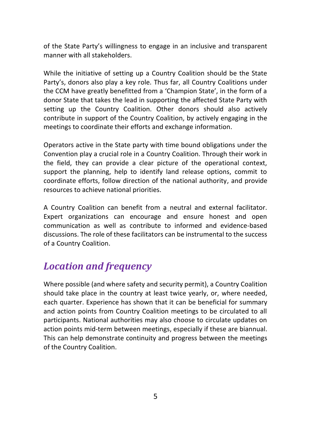of the State Party's willingness to engage in an inclusive and transparent manner with all stakeholders.

While the initiative of setting up a Country Coalition should be the State Party's, donors also play a key role. Thus far, all Country Coalitions under the CCM have greatly benefitted from a 'Champion State', in the form of a donor State that takes the lead in supporting the affected State Party with setting up the Country Coalition. Other donors should also actively contribute in support of the Country Coalition, by actively engaging in the meetings to coordinate their efforts and exchange information.

Operators active in the State party with time bound obligations under the Convention play a crucial role in a Country Coalition. Through their work in the field, they can provide a clear picture of the operational context, support the planning, help to identify land release options, commit to coordinate efforts, follow direction of the national authority, and provide resources to achieve national priorities.

A Country Coalition can benefit from a neutral and external facilitator. Expert organizations can encourage and ensure honest and open communication as well as contribute to informed and evidence-based discussions. The role of these facilitators can be instrumental to the success of a Country Coalition.

## *Location and frequency*

Where possible (and where safety and security permit), a Country Coalition should take place in the country at least twice yearly, or, where needed, each quarter. Experience has shown that it can be beneficial for summary and action points from Country Coalition meetings to be circulated to all participants. National authorities may also choose to circulate updates on action points mid-term between meetings, especially if these are biannual. This can help demonstrate continuity and progress between the meetings of the Country Coalition.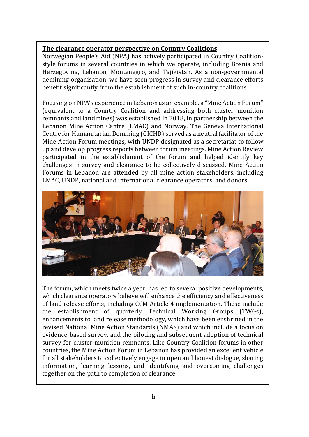#### **The clearance operator perspective on Country Coalitions**

Norwegian People's Aid (NPA) has actively participated in Country Coalitionstyle forums in several countries in which we operate, including Bosnia and Herzegovina, Lebanon, Montenegro, and Tajikistan. As a non-governmental demining organisation, we have seen progress in survey and clearance efforts benefit significantly from the establishment of such in-country coalitions.

Focusing on NPA's experience in Lebanon as an example, a "Mine Action Forum" (equivalent to a Country Coalition and addressing both cluster munition remnants and landmines) was established in 2018, in partnership between the Lebanon Mine Action Centre (LMAC) and Norway. The Geneva International Centre for Humanitarian Demining (GICHD) served as a neutral facilitator of the Mine Action Forum meetings, with UNDP designated as a secretariat to follow up and develop progress reports between forum meetings. Mine Action Review participated in the establishment of the forum and helped identify key challenges in survey and clearance to be collectively discussed. Mine Action Forums in Lebanon are attended by all mine action stakeholders, including LMAC, UNDP, national and international clearance operators, and donors.



The forum, which meets twice a year, has led to several positive developments, which clearance operators believe will enhance the efficiency and effectiveness of land release efforts, including CCM Article 4 implementation. These include the establishment of quarterly Technical Working Groups (TWGs); enhancements to land release methodology, which have been enshrined in the revised National Mine Action Standards (NMAS) and which include a focus on evidence-based survey, and the piloting and subsequent adoption of technical survey for cluster munition remnants. Like Country Coalition forums in other countries, the Mine Action Forum in Lebanon has provided an excellent vehicle for all stakeholders to collectively engage in open and honest dialogue, sharing information, learning lessons, and identifying and overcoming challenges together on the path to completion of clearance.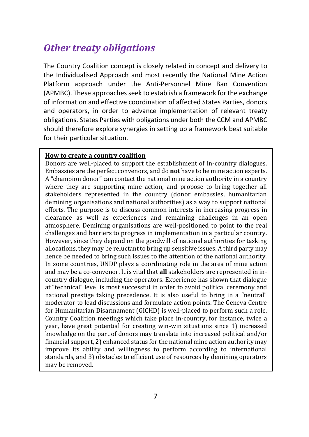## *Other treaty obligations*

The Country Coalition concept is closely related in concept and delivery to the Individualised Approach and most recently the National Mine Action Platform approach under the Anti-Personnel Mine Ban Convention (APMBC). These approaches seek to establish a framework for the exchange of information and effective coordination of affected States Parties, donors and operators, in order to advance implementation of relevant treaty obligations. States Parties with obligations under both the CCM and APMBC should therefore explore synergies in setting up a framework best suitable for their particular situation.

#### **How to create a country coalition**

Donors are well-placed to support the establishment of in-country dialogues. Embassies are the perfect convenors, and do **not** have to be mine action experts. A "champion donor" can contact the national mine action authority in a country where they are supporting mine action, and propose to bring together all stakeholders represented in the country (donor embassies, humanitarian demining organisations and national authorities) as a way to support national efforts. The purpose is to discuss common interests in increasing progress in clearance as well as experiences and remaining challenges in an open atmosphere. Demining organisations are well-positioned to point to the real challenges and barriers to progress in implementation in a particular country. However, since they depend on the goodwill of national authorities for tasking allocations, they may be reluctant to bring up sensitive issues. A third party may hence be needed to bring such issues to the attention of the national authority. In some countries, UNDP plays a coordinating role in the area of mine action and may be a co-convenor. It is vital that **all** stakeholders are represented in incountry dialogue, including the operators. Experience has shown that dialogue at "technical" level is most successful in order to avoid political ceremony and national prestige taking precedence. It is also useful to bring in a "neutral" moderator to lead discussions and formulate action points. The Geneva Centre for Humanitarian Disarmament (GICHD) is well-placed to perform such a role. Country Coalition meetings which take place in-country, for instance, twice a year, have great potential for creating win-win situations since 1) increased knowledge on the part of donors may translate into increased political and/or financial support, 2) enhanced status for the national mine action authority may improve its ability and willingness to perform according to international standards, and 3) obstacles to efficient use of resources by demining operators may be removed.